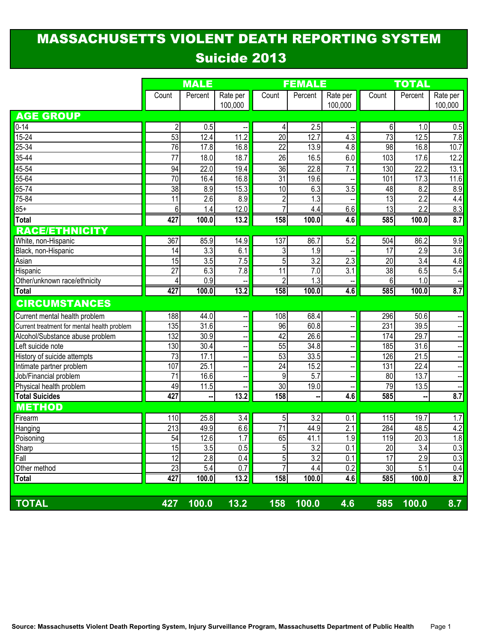## MASSACHUSETTS VIOLENT DEATH REPORTING SYSTEM Suicide 2013

|                                             | <b>MALE</b>     |                  |                     |                  | <b>FEMALE</b>    |                            | TOTAL           |                  |                                      |
|---------------------------------------------|-----------------|------------------|---------------------|------------------|------------------|----------------------------|-----------------|------------------|--------------------------------------|
|                                             | Count           | Percent          | Rate per<br>100,000 | Count            | Percent          | Rate per<br>100,000        | Count           | Percent          | Rate per<br>100,000                  |
| <b>AGE GROUP</b>                            |                 |                  |                     |                  |                  |                            |                 |                  |                                      |
| $0 - 14$                                    | $\overline{c}$  | 0.5              |                     | 4                | 2.5              |                            | 6               | 1.0              | 0.5                                  |
| $15 - 24$                                   | 53              | 12.4             | 11.2                | $\overline{20}$  | 12.7             | 4.3                        | 73              | 12.5             | 7.8                                  |
| $25 - 34$                                   | 76              | 17.8             | 16.8                | $\overline{22}$  | 13.9             | 4.8                        | $\overline{98}$ | 16.8             | 10.7                                 |
| 35-44                                       | 77              | 18.0             | 18.7                | 26               | 16.5             | 6.0                        | 103             | 17.6             | 12.2                                 |
| 45-54                                       | 94              | 22.0             | 19.4                | $\overline{36}$  | 22.8             | 7.1                        | 130             | 22.2             | 13.1                                 |
| $55 - 64$                                   | 70              | 16.4             | 16.8                | 31               | 19.6             |                            | 101             | 17.3             | 11.6                                 |
| $65 - 74$                                   | 38              | 8.9              | 15.3                | 10               | 6.3              | 3.5                        | 48              | 8.2              | $\frac{8}{9}$                        |
| 75-84                                       | 11              | $\overline{2.6}$ | 8.9                 | $\overline{c}$   | $\overline{1.3}$ |                            | $\overline{13}$ | 2.2              | 4.4                                  |
| $85+$                                       | 6               | 1.4              | 12.0                | $\overline{7}$   | 4.4              | 6.6                        | $\overline{13}$ | 2.2              | 8.3                                  |
| <b>Total</b>                                | 427             | 100.0            | 13.2                | 158              | 100.0            | 4.6                        | 585             | 100.0            | $\overline{\overline{\mathbf{8.7}}}$ |
| <b>RACE/ETHNICITY</b>                       |                 |                  |                     |                  |                  |                            |                 |                  |                                      |
| White, non-Hispanic                         | 367             | 85.9             | 14.9                | 137              | 86.7             | 5.2                        | 504             | 86.2             | 9.9                                  |
| Black, non-Hispanic                         | 14              | 3.3              | 6.1                 | 3                | 1.9              |                            | 17              | 2.9              | $\frac{3}{6}$                        |
| Asian                                       | 15              | $\overline{3.5}$ | 7.5                 | $\overline{5}$   | $\overline{3.2}$ | 2.3                        | $\overline{20}$ | $\overline{3.4}$ | 4.8                                  |
| Hispanic                                    | $\overline{27}$ | 6.3              | 7.8                 | $\overline{11}$  | 7.0              | 3.1                        | 38              | 6.5              | 5.4                                  |
| Other/unknown race/ethnicity                | 4               | 0.9              |                     | $\overline{2}$   | 1.3              |                            | $6\phantom{.}$  | 1.0              |                                      |
| <b>Total</b>                                | 427             | 100.0            | 13.2                | 158              | 100.0            | 4.6                        | 585             | 100.0            | 8.7                                  |
| <b>CIRCUMSTANCES</b>                        |                 |                  |                     |                  |                  |                            |                 |                  |                                      |
| Current mental health problem               | 188             | 44.0             |                     | 108              | 68.4             |                            | 296             | 50.6             |                                      |
| Current treatment for mental health problem | 135             | 31.6             | --                  | 96               | 60.8             |                            | 231             | 39.5             | --                                   |
| Alcohol/Substance abuse problem             | 132             | 30.9             |                     | 42               | 26.6             |                            | 174             | 29.7             |                                      |
| Left suicide note                           | 130             | 30.4             |                     | $\overline{55}$  | 34.8             |                            | 185             | 31.6             | $\overline{\phantom{a}}$             |
| History of suicide attempts                 | $\overline{73}$ | 17.1             |                     | $\overline{53}$  | 33.5             |                            | 126             | 21.5             |                                      |
| Intimate partner problem                    | 107             | 25.1             |                     | $\overline{24}$  | 15.2             |                            | 131             | 22.4             | --                                   |
| Job/Financial problem                       | $\overline{71}$ | 16.6             | ÷                   | $\boldsymbol{9}$ | 5.7              |                            | $\overline{80}$ | 13.7             | $\overline{\phantom{a}}$             |
| Physical health problem                     | 49              | 11.5             |                     | $\overline{30}$  | 19.0             |                            | 79              | 13.5             |                                      |
| <b>Total Suicides</b>                       | 427             | --               | $\overline{13.2}$   | 158              | н,               | 4.6                        | 585             |                  | 8.7                                  |
| <b>METHOD</b>                               |                 |                  |                     |                  |                  |                            |                 |                  |                                      |
| Firearm                                     | 110             | 25.8             | 3.4                 | 5                | 3.2              | 0.1                        | 115             | 19.7             | 1.7                                  |
| Hanging                                     | 213             | 49.9             | 6.6                 | 71               | 44.9             | $\overline{2.1}$           | 284             | 48.5             | 4.2                                  |
| Poisoning                                   | 54              | 12.6             | 1.7                 | 65               | 41.1             | 1 <sub>q</sub><br>$\cdots$ | 119             | 20.3             | 1.8                                  |
| Sharp                                       | 15              | 3.5              | 0.5                 | 5                | 3.2              | 0.1                        | 20              | 3.4              | 0.3                                  |
| Fall                                        | 12              | 2.8              | 0.4                 | 5                | 3.2              | 0.1                        | 17              | 2.9              | $0.3\,$                              |
| Other method                                | 23              | 5.4              | 0.7                 | $\overline{7}$   | 4.4              | 0.2                        | 30              | 5.1              | 0.4                                  |
| <b>Total</b>                                | 427             | 100.0            | 13.2                | 158              | 100.0            | 4.6                        | 585             | 100.0            | 8.7                                  |
|                                             |                 |                  |                     |                  |                  |                            |                 |                  |                                      |
| <b>TOTAL</b>                                | 427             | 100.0            | $13.2$              | 158              | 100.0            | 4.6                        | 585             | 100.0            | 8.7                                  |